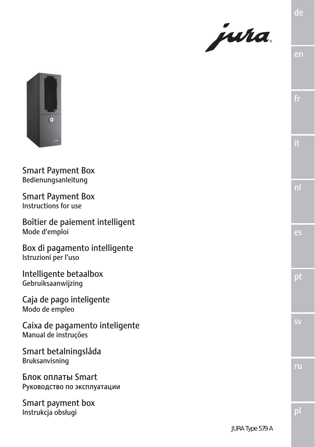



Smart Payment Box Bedienungsanleitung

Smart Payment Box Instructions for use

Boîtier de paiement intelligent Mode d'emploi

Box di pagamento intelligente Istruzioni per l'uso

Intelligente betaalbox Gebruiksaanwijzing

Caja de pago inteligente Modo de empleo

Caixa de pagamento inteligente Manual de instruções

Smart betalningslåda Bruksanvisning

Блок оплаты Smart Руководство по эксплуатации

Smart payment box Instrukcja obsługi

en

ru

sv

pt

es

nl

pl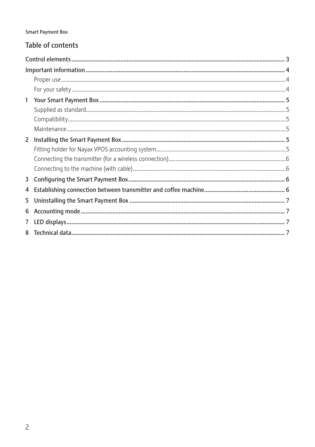#### **Smart Payment Box**

## Table of contents

| 4 |  |  |  |  |
|---|--|--|--|--|
|   |  |  |  |  |
|   |  |  |  |  |
|   |  |  |  |  |
|   |  |  |  |  |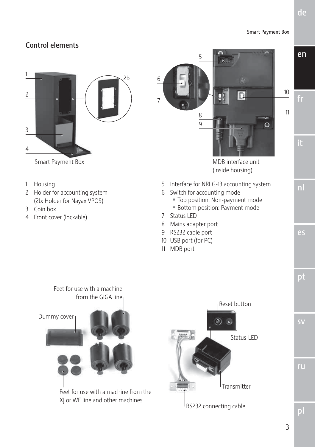#### Smart Payment Box

## Control elements



- 1 Housing
- 2 Holder for accounting system (2b: Holder for Nayax VPOS)

Feet for use with a machine

- 3 Coin box
- 4 Front cover (lockable)







ru

sv

3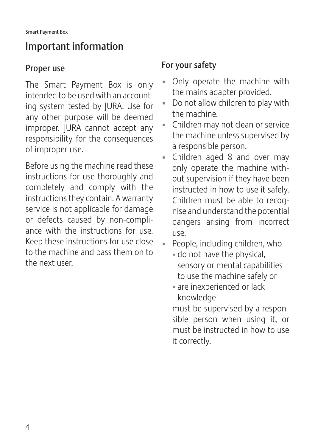# Important information

# Proper use

The Smart Payment Box is only intended to be used with an accounting system tested by JURA. Use for any other purpose will be deemed improper. JURA cannot accept any responsibility for the consequences of improper use.

Before using the machine read these instructions for use thoroughly and completely and comply with the instructions they contain. A warranty service is not applicable for damage or defects caused by non-compliance with the instructions for use. Keep these instructions for use close to the machine and pass them on to the next user.

# For your safety

- Only operate the machine with the mains adapter provided.
- Do not allow children to play with the machine.
- Children may not clean or service the machine unless supervised by a responsible person.
- **E** Children aged 8 and over may only operate the machine without supervision if they have been instructed in how to use it safely. Children must be able to recognise and understand the potential dangers arising from incorrect use.
- People, including children, who
	- do not have the physical, sensory or mental capabilities to use the machine safely or
	- are inexperienced or lack knowledge

must be supervised by a responsible person when using it, or must be instructed in how to use it correctly.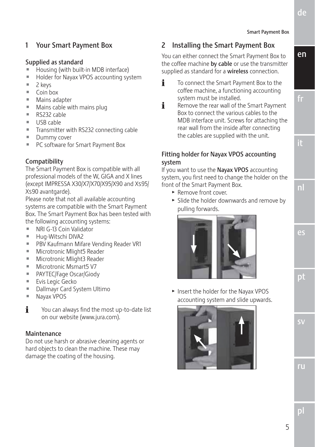en

### 1 Your Smart Payment Box

#### Supplied as standard

- Housing (with built-in MDB interface)
- Holder for Nayax VPOS accounting system
- $\blacksquare$  2 keys
- $\blacksquare$  Coin box
- $Mains$  adapter
- Mains cable with mains plug
- $\blacksquare$  RS232 cable
- $\blacksquare$  USB cable
- $\blacksquare$  Transmitter with RS232 connecting cable
- **Dummy cover**
- PC software for Smart Payment Box

#### Compatibility

The Smart Payment Box is compatible with all professional models of the W, GIGA and X lines (except IMPRESSA X30/X7/X70/X95/X90 and Xs95/ Xs90 avantgarde).

Please note that not all available accounting systems are compatible with the Smart Payment Box. The Smart Payment Box has been tested with the following accounting systems:

- 
- $\blacksquare$  NRI G-13 Coin Validator
- Hug-Witschi DIVA2
- **PBV Kaufmann Mifare Vending Reader VR1**
- Microtronic Mlight5 Reader
- Microtronic Mlight3 Reader
- Microtronic Msmart5 V7
- PAYTEC/Fage Oscar/Giody
- **Evis Legic Gecko**
- **Dallmayr Card System Ultimo**
- **Nayax VPOS**
- $\mathbf{i}$  You can always find the most up-to-date list on our website (www.jura.com).

#### Maintenance

Do not use harsh or abrasive cleaning agents or hard objects to clean the machine. These may damage the coating of the housing.

### 2 Installing the Smart Payment Box

You can either connect the Smart Payment Box to the coffee machine by cable or use the transmitter supplied as standard for a wireless connection.

- **i** To connect the Smart Payment Box to the coffee machine, a functioning accounting system must be installed.
- $\mathbf{\hat{i}}$  Remove the rear wall of the Smart Payment Box to connect the various cables to the MDB interface unit. Screws for attaching the rear wall from the inside after connecting the cables are supplied with the unit.

#### Fitting holder for Nayax VPOS accounting system

If you want to use the Nayax VPOS accounting system, you first need to change the holder on the front of the Smart Payment Box.

- Remove front cover.
- $\triangleright$  Slide the holder downwards and remove by pulling forwards.



**F** Insert the holder for the Nayax VPOS accounting system and slide upwards.



sv

pt

es

nl

it

fr

pl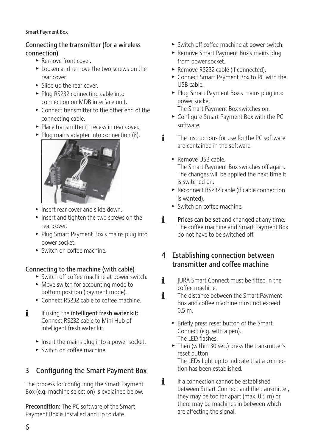#### Smart Payment Box

#### Connecting the transmitter (for a wireless connection)

- $\blacktriangleright$  Remove front cover.
- $\blacktriangleright$  Loosen and remove the two screws on the rear cover.
- $\blacktriangleright$  Slide up the rear cover.
- ► Plug RS232 connecting cable into connection on MDB interface unit.
- $\triangleright$  Connect transmitter to the other end of the connecting cable.
- $\blacktriangleright$  Place transmitter in recess in rear cover.
- $\blacktriangleright$  Plug mains adapter into connection (8).



- **F** Insert rear cover and slide down.
- $\blacktriangleright$  Insert and tighten the two screws on the rear cover.
- Plug Smart Payment Box's mains plug into power socket.
- $\triangleright$  Switch on coffee machine.

#### Connecting to the machine (with cable)

- $\triangleright$  Switch off coffee machine at power switch.
- $\blacktriangleright$  Move switch for accounting mode to bottom position (payment mode).
- $\triangleright$  Connect RS232 cable to coffee machine.
- **i** If using the **intelligent fresh water kit:** Connect RS232 cable to Mini Hub of intelligent fresh water kit.
	- $\blacktriangleright$  Insert the mains plug into a power socket.
	- $\blacktriangleright$  Switch on coffee machine.

### 3 Configuring the Smart Payment Box

The process for configuring the Smart Payment Box (e.g. machine selection) is explained below.

Precondition: The PC software of the Smart Payment Box is installed and up to date.

- $\blacktriangleright$  Switch off coffee machine at power switch.
- ► Remove Smart Payment Box's mains plug from power socket.
- ▶ Remove RS232 cable (if connected).
- ► Connect Smart Payment Box to PC with the USB cable.
- Plug Smart Payment Box's mains plug into power socket.

The Smart Payment Box switches on.

- ► Configure Smart Payment Box with the PC software.
- $\mathbf{\hat{i}}$  The instructions for use for the PC software are contained in the software.
	- $\blacktriangleright$  Remove USB cable. The Smart Payment Box switches off again. The changes will be applied the next time it is switched on.
	- ▶ Reconnect RS232 cable (if cable connection is wanted).
	- $\blacktriangleright$  Switch on coffee machine.
- $\mathbf{i}$  Prices can be set and changed at any time. The coffee machine and Smart Payment Box do not have to be switched off.

### 4 Establishing connection between transmitter and coffee machine

- $\mathbf{i}$  IURA Smart Connect must be fitted in the coffee machine.
- $\mathbf{i}$  The distance between the Smart Payment Box and coffee machine must not exceed 0.5 m.
	- $\blacktriangleright$  Briefly press reset button of the Smart Connect (e.g. with a pen). The LED flashes.
	- $\blacktriangleright$  Then (within 30 sec.) press the transmitter's reset button. The LEDs light up to indicate that a connec-
- tion has been established.  $\mathbf{F}$  If a connection cannot be established between Smart Connect and the transmitter, they may be too far apart (max. 0.5 m) or there may be machines in between which

are affecting the signal.